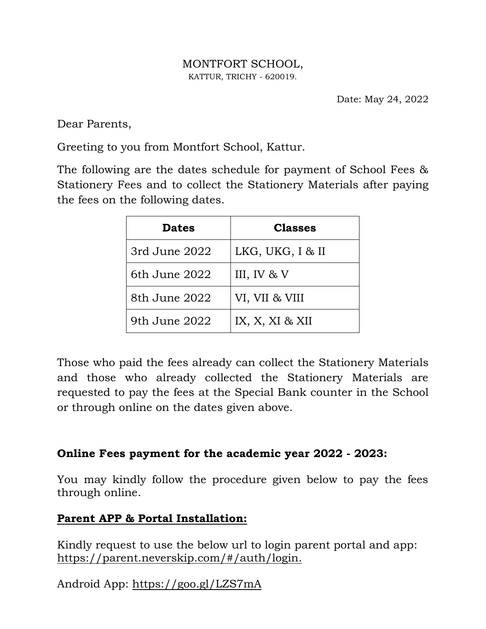## MONTFORT SCHOOL, KATTUR, TRICHY - 620019.

Date: May 24, 2022

Dear Parents,

Greeting to you from Montfort School, Kattur.

The following are the dates schedule for payment of School Fees & Stationery Fees and to collect the Stationery Materials after paying the fees on the following dates.

| <b>Dates</b>  | <b>Classes</b>   |
|---------------|------------------|
| 3rd June 2022 | LKG, UKG, I & II |
| 6th June 2022 | III, IV & V      |
| 8th June 2022 | VI, VII & VIII   |
| 9th June 2022 | IX, X, XI & XII  |

Those who paid the fees already can collect the Stationery Materials and those who already collected the Stationery Materials are requested to pay the fees at the Special Bank counter in the School or through online on the dates given above.

## **Online Fees payment for the academic year 2022 - 2023:**

You may kindly follow the procedure given below to pay the fees through online.

## **Parent APP & Portal Installation:**

Kindly request to use the below url to login parent portal and app: https://parent.neverskip.com/#/auth/login.

Android App: https://goo.gl/LZS7mA